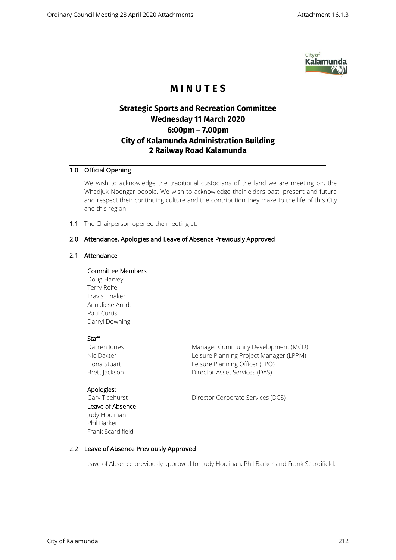

# **M I N U T E S**

## **Strategic Sports and Recreation Committee Wednesday 11 March 2020 6:00pm – 7.00pm City of Kalamunda Administration Building 2 Railway Road Kalamunda**

## 1.0 Official Opening

We wish to acknowledge the traditional custodians of the land we are meeting on, the Whadjuk Noongar people. We wish to acknowledge their elders past, present and future and respect their continuing culture and the contribution they make to the life of this City and this region.

1.1 The Chairperson opened the meeting at.

## 2.0 Attendance, Apologies and Leave of Absence Previously Approved

#### 2.1 Attendance

#### Committee Members

Doug Harvey Terry Rolfe Travis Linaker Annaliese Arndt Paul Curtis Darryl Downing

#### **Staff**

Darren Jones **Manager Community Development (MCD)** Nic Daxter **Leisure Planning Project Manager (LPPM)** Fiona Stuart **Leisure Planning Officer (LPO)** Brett Jackson Director Asset Services (DAS)

Apologies:

Leave of Absence Judy Houlihan Phil Barker Frank Scardifield

Gary Ticehurst **Director Corporate Services (DCS)** 

## 2.2 Leave of Absence Previously Approved

Leave of Absence previously approved for Judy Houlihan, Phil Barker and Frank Scardifield.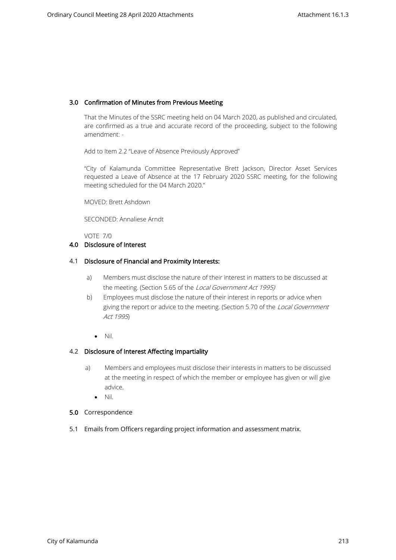## 3.0 Confirmation of Minutes from Previous Meeting

That the Minutes of the SSRC meeting held on 04 March 2020, as published and circulated, are confirmed as a true and accurate record of the proceeding, subject to the following amendment: -

Add to Item 2.2 "Leave of Absence Previously Approved"

"City of Kalamunda Committee Representative Brett Jackson, Director Asset Services requested a Leave of Absence at the 17 February 2020 SSRC meeting, for the following meeting scheduled for the 04 March 2020."

MOVED: Brett Ashdown

SECONDED: Annaliese Arndt

#### VOTE 7/0

#### 4.0 Disclosure of Interest

#### 4.1 Disclosure of Financial and Proximity Interests:

- a) Members must disclose the nature of their interest in matters to be discussed at the meeting. (Section 5.65 of the Local Government Act 1995)
- b) Employees must disclose the nature of their interest in reports or advice when giving the report or advice to the meeting. (Section 5.70 of the Local Government Act 1995)
	- Nil.

#### 4.2 Disclosure of Interest Affecting Impartiality

- a) Members and employees must disclose their interests in matters to be discussed at the meeting in respect of which the member or employee has given or will give advice.
	- Nil.

#### 5.0 Correspondence

5.1 Emails from Officers regarding project information and assessment matrix.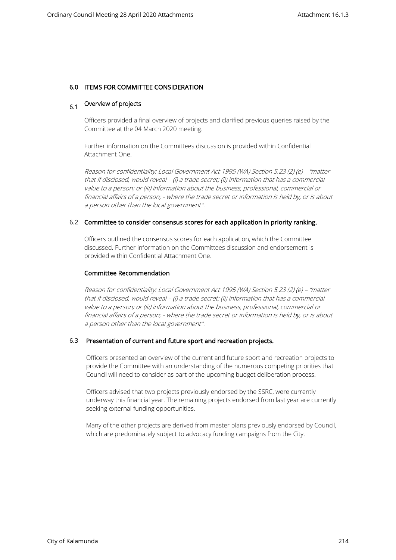#### 6.0 ITEMS FOR COMMITTEE CONSIDERATION

## 6.1 Overview of projects

Officers provided a final overview of projects and clarified previous queries raised by the Committee at the 04 March 2020 meeting.

Further information on the Committees discussion is provided within Confidential Attachment One.

Reason for confidentiality: Local Government Act 1995 (WA) Section 5.23 (2) (e) – "matter that if disclosed, would reveal – (i) a trade secret; (ii) information that has a commercial value to a person; or (iii) information about the business, professional, commercial or financial affairs of a person; - where the trade secret or information is held by, or is about a person other than the local government".

#### 6.2 Committee to consider consensus scores for each application in priority ranking.

Officers outlined the consensus scores for each application, which the Committee discussed. Further information on the Committees discussion and endorsement is provided within Confidential Attachment One.

#### Committee Recommendation

Reason for confidentiality: Local Government Act 1995 (WA) Section 5.23 (2) (e) – "matter that if disclosed, would reveal – (i) a trade secret; (ii) information that has a commercial value to a person; or (iii) information about the business, professional, commercial or financial affairs of a person; - where the trade secret or information is held by, or is about a person other than the local government ".

#### 6.3 Presentation of current and future sport and recreation projects.

Officers presented an overview of the current and future sport and recreation projects to provide the Committee with an understanding of the numerous competing priorities that Council will need to consider as part of the upcoming budget deliberation process.

Officers advised that two projects previously endorsed by the SSRC, were currently underway this financial year. The remaining projects endorsed from last year are currently seeking external funding opportunities.

Many of the other projects are derived from master plans previously endorsed by Council, which are predominately subject to advocacy funding campaigns from the City.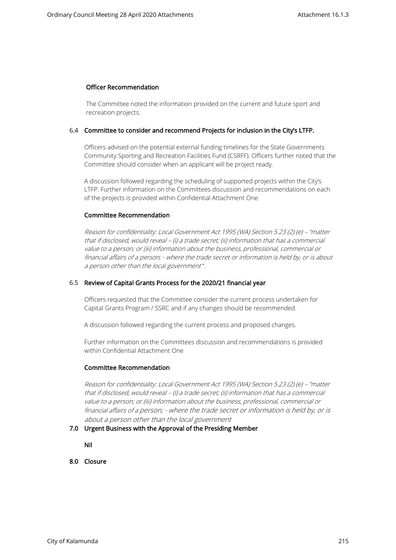#### Officer Recommendation

The Committee noted the information provided on the current and future sport and recreation projects.

#### 6.4 Committee to consider and recommend Projects for inclusion in the City's LTFP.

Officers advised on the potential external funding timelines for the State Governments Community Sporting and Recreation Facilities Fund (CSRFF). Officers further noted that the Committee should consider when an applicant will be project ready.

A discussion followed regarding the scheduling of supported projects within the City's LTFP. Further information on the Committees discussion and recommendations on each of the projects is provided within Confidential Attachment One.

#### Committee Recommendation

Reason for confidentiality: Local Government Act 1995 (WA) Section 5.23 (2) (e) – "matter that if disclosed, would reveal – (i) a trade secret; (ii) information that has a commercial value to a person; or (iii) information about the business, professional, commercial or financial affairs of a person; - where the trade secret or information is held by, or is about a person other than the local government".

#### 6.5 Review of Capital Grants Process for the 2020/21 financial year

Officers requested that the Committee consider the current process undertaken for Capital Grants Program / SSRC and if any changes should be recommended.

A discussion followed regarding the current process and proposed changes.

Further information on the Committees discussion and recommendations is provided within Confidential Attachment One

#### Committee Recommendation

Reason for confidentiality: Local Government Act 1995 (WA) Section 5.23 (2) (e) – "matter that if disclosed, would reveal – (i) a trade secret; (ii) information that has a commercial value to a person; or (iii) information about the business, professional, commercial or financial affairs of a person; - where the trade secret or information is held by, or is about a person other than the local government

#### 7.0 Urgent Business with the Approval of the Presiding Member

Nil

8.0 Closure